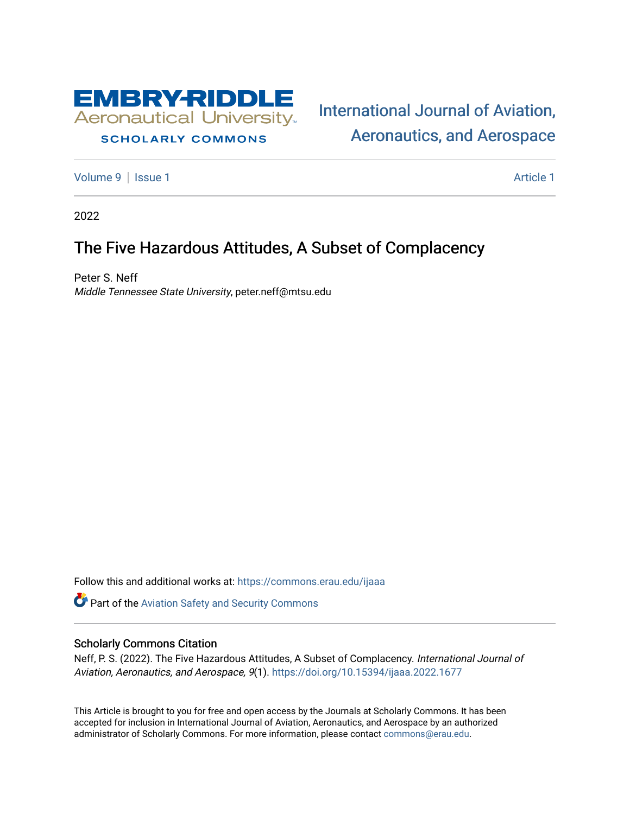

## **SCHOLARLY COMMONS**

[International Journal of Aviation,](https://commons.erau.edu/ijaaa)  [Aeronautics, and Aerospace](https://commons.erau.edu/ijaaa) 

[Volume 9](https://commons.erau.edu/ijaaa/vol9) | [Issue 1](https://commons.erau.edu/ijaaa/vol9/iss1) Article 1

2022

# The Five Hazardous Attitudes, A Subset of Complacency

Peter S. Neff Middle Tennessee State University, peter.neff@mtsu.edu

Follow this and additional works at: [https://commons.erau.edu/ijaaa](https://commons.erau.edu/ijaaa?utm_source=commons.erau.edu%2Fijaaa%2Fvol9%2Fiss1%2F1&utm_medium=PDF&utm_campaign=PDFCoverPages) 

Part of the [Aviation Safety and Security Commons](http://network.bepress.com/hgg/discipline/1320?utm_source=commons.erau.edu%2Fijaaa%2Fvol9%2Fiss1%2F1&utm_medium=PDF&utm_campaign=PDFCoverPages) 

#### Scholarly Commons Citation

Neff, P. S. (2022). The Five Hazardous Attitudes, A Subset of Complacency. International Journal of Aviation, Aeronautics, and Aerospace, 9(1).<https://doi.org/10.15394/ijaaa.2022.1677>

This Article is brought to you for free and open access by the Journals at Scholarly Commons. It has been accepted for inclusion in International Journal of Aviation, Aeronautics, and Aerospace by an authorized administrator of Scholarly Commons. For more information, please contact [commons@erau.edu](mailto:commons@erau.edu).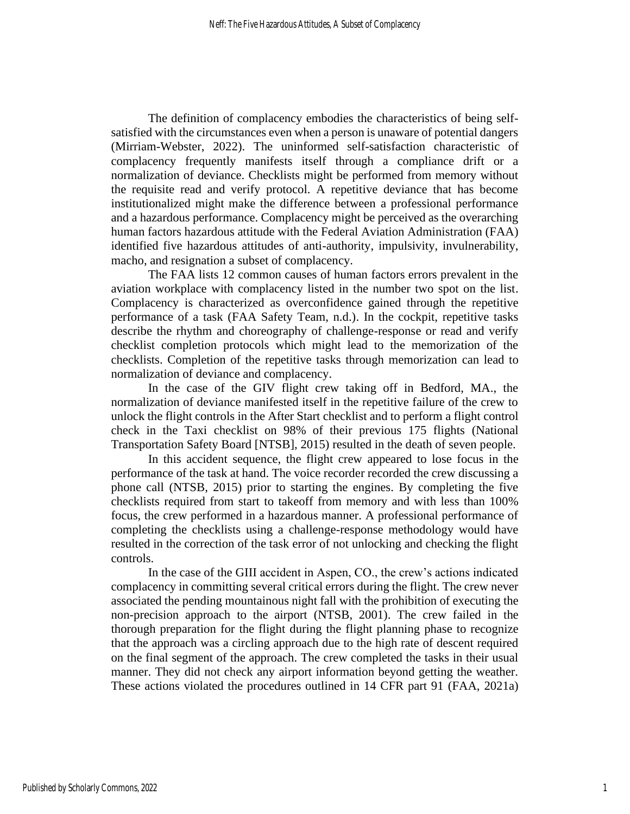The definition of complacency embodies the characteristics of being selfsatisfied with the circumstances even when a person is unaware of potential dangers (Mirriam-Webster, 2022). The uninformed self-satisfaction characteristic of complacency frequently manifests itself through a compliance drift or a normalization of deviance. Checklists might be performed from memory without the requisite read and verify protocol. A repetitive deviance that has become institutionalized might make the difference between a professional performance and a hazardous performance. Complacency might be perceived as the overarching human factors hazardous attitude with the Federal Aviation Administration (FAA) identified five hazardous attitudes of anti-authority, impulsivity, invulnerability, macho, and resignation a subset of complacency.

The FAA lists 12 common causes of human factors errors prevalent in the aviation workplace with complacency listed in the number two spot on the list. Complacency is characterized as overconfidence gained through the repetitive performance of a task (FAA Safety Team, n.d.). In the cockpit, repetitive tasks describe the rhythm and choreography of challenge-response or read and verify checklist completion protocols which might lead to the memorization of the checklists. Completion of the repetitive tasks through memorization can lead to normalization of deviance and complacency.

In the case of the GIV flight crew taking off in Bedford, MA., the normalization of deviance manifested itself in the repetitive failure of the crew to unlock the flight controls in the After Start checklist and to perform a flight control check in the Taxi checklist on 98% of their previous 175 flights (National Transportation Safety Board [NTSB], 2015) resulted in the death of seven people.

In this accident sequence, the flight crew appeared to lose focus in the performance of the task at hand. The voice recorder recorded the crew discussing a phone call (NTSB, 2015) prior to starting the engines. By completing the five checklists required from start to takeoff from memory and with less than 100% focus, the crew performed in a hazardous manner. A professional performance of completing the checklists using a challenge-response methodology would have resulted in the correction of the task error of not unlocking and checking the flight controls.

In the case of the GIII accident in Aspen, CO., the crew's actions indicated complacency in committing several critical errors during the flight. The crew never associated the pending mountainous night fall with the prohibition of executing the non-precision approach to the airport (NTSB, 2001). The crew failed in the thorough preparation for the flight during the flight planning phase to recognize that the approach was a circling approach due to the high rate of descent required on the final segment of the approach. The crew completed the tasks in their usual manner. They did not check any airport information beyond getting the weather. These actions violated the procedures outlined in 14 CFR part 91 (FAA, 2021a)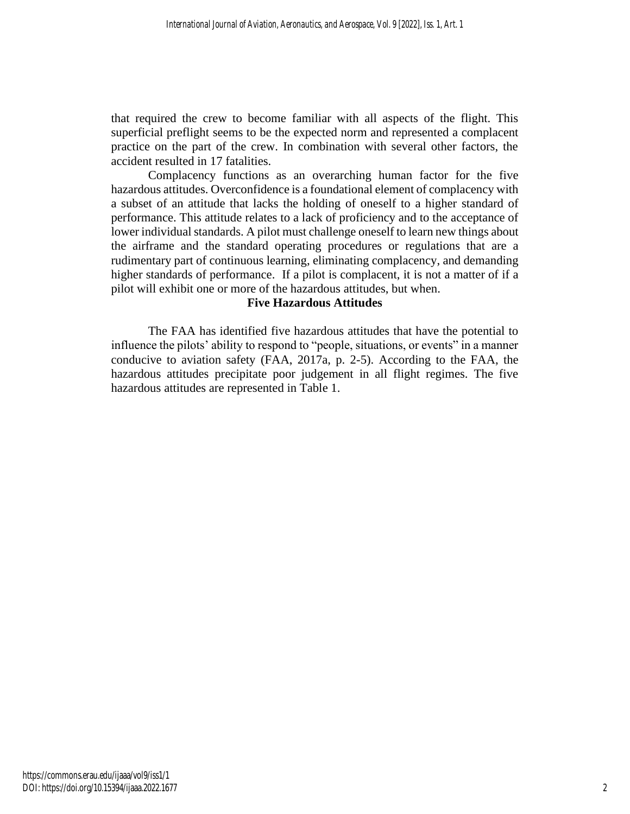that required the crew to become familiar with all aspects of the flight. This superficial preflight seems to be the expected norm and represented a complacent practice on the part of the crew. In combination with several other factors, the accident resulted in 17 fatalities.

Complacency functions as an overarching human factor for the five hazardous attitudes. Overconfidence is a foundational element of complacency with a subset of an attitude that lacks the holding of oneself to a higher standard of performance. This attitude relates to a lack of proficiency and to the acceptance of lower individual standards. A pilot must challenge oneself to learn new things about the airframe and the standard operating procedures or regulations that are a rudimentary part of continuous learning, eliminating complacency, and demanding higher standards of performance. If a pilot is complacent, it is not a matter of if a pilot will exhibit one or more of the hazardous attitudes, but when.

## **Five Hazardous Attitudes**

The FAA has identified five hazardous attitudes that have the potential to influence the pilots' ability to respond to "people, situations, or events" in a manner conducive to aviation safety (FAA, 2017a, p. 2-5). According to the FAA, the hazardous attitudes precipitate poor judgement in all flight regimes. The five hazardous attitudes are represented in Table 1.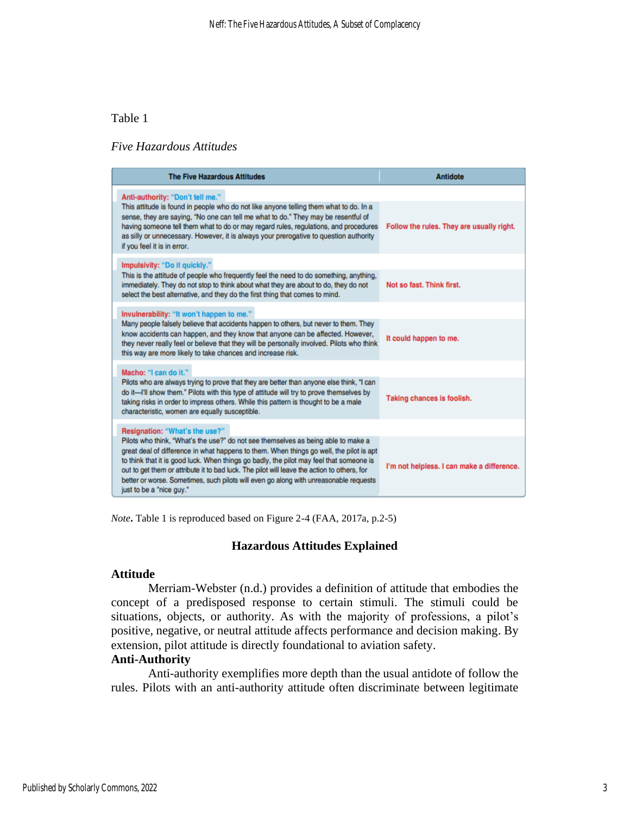## Table 1

## *Five Hazardous Attitudes*

| <b>The Five Hazardous Attitudes</b>                                                                                                                                                                                                                                                                                                                                                                                                                                                         | <b>Antidote</b>                            |
|---------------------------------------------------------------------------------------------------------------------------------------------------------------------------------------------------------------------------------------------------------------------------------------------------------------------------------------------------------------------------------------------------------------------------------------------------------------------------------------------|--------------------------------------------|
| Anti-authority: "Don't tell me."                                                                                                                                                                                                                                                                                                                                                                                                                                                            |                                            |
| This attitude is found in people who do not like anyone telling them what to do. In a<br>sense, they are saying, "No one can tell me what to do." They may be resentful of<br>having someone tell them what to do or may regard rules, regulations, and procedures<br>as silly or unnecessary. However, it is always your prerogative to question authority<br>if you feel it is in error.                                                                                                  | Follow the rules. They are usually right.  |
| Impulsivity: "Do it quickly."                                                                                                                                                                                                                                                                                                                                                                                                                                                               |                                            |
| This is the attitude of people who frequently feel the need to do something, anything,<br>immediately. They do not stop to think about what they are about to do, they do not<br>select the best alternative, and they do the first thing that comes to mind.                                                                                                                                                                                                                               | Not so fast. Think first.                  |
| Invulnerability: "It won't happen to me."                                                                                                                                                                                                                                                                                                                                                                                                                                                   |                                            |
| Many people falsely believe that accidents happen to others, but never to them. They<br>know accidents can happen, and they know that anyone can be affected. However,<br>they never really feel or believe that they will be personally involved. Pilots who think<br>this way are more likely to take chances and increase risk.                                                                                                                                                          | It could happen to me.                     |
| Macho: "I can do it."                                                                                                                                                                                                                                                                                                                                                                                                                                                                       |                                            |
| Pilots who are always trying to prove that they are better than anyone else think, "I can<br>do it-I'll show them." Pilots with this type of attitude will try to prove themselves by<br>taking risks in order to impress others. While this pattern is thought to be a male<br>characteristic, women are equally susceptible.                                                                                                                                                              | Taking chances is foolish.                 |
| Resignation: "What's the use?"                                                                                                                                                                                                                                                                                                                                                                                                                                                              |                                            |
| Pilots who think, "What's the use?" do not see themselves as being able to make a<br>great deal of difference in what happens to them. When things go well, the pilot is apt<br>to think that it is good luck. When things go badly, the pilot may feel that someone is<br>out to get them or attribute it to bad luck. The pilot will leave the action to others, for<br>better or worse. Sometimes, such pilots will even go along with unreasonable requests<br>just to be a "nice guy." | I'm not helpless. I can make a difference. |

*Note***.** Table 1 is reproduced based on Figure 2-4 (FAA, 2017a, p.2-5)

## **Hazardous Attitudes Explained**

#### **Attitude**

Merriam-Webster (n.d.) provides a definition of attitude that embodies the concept of a predisposed response to certain stimuli. The stimuli could be situations, objects, or authority. As with the majority of professions, a pilot's positive, negative, or neutral attitude affects performance and decision making. By extension, pilot attitude is directly foundational to aviation safety.

## **Anti-Authority**

Anti-authority exemplifies more depth than the usual antidote of follow the rules. Pilots with an anti-authority attitude often discriminate between legitimate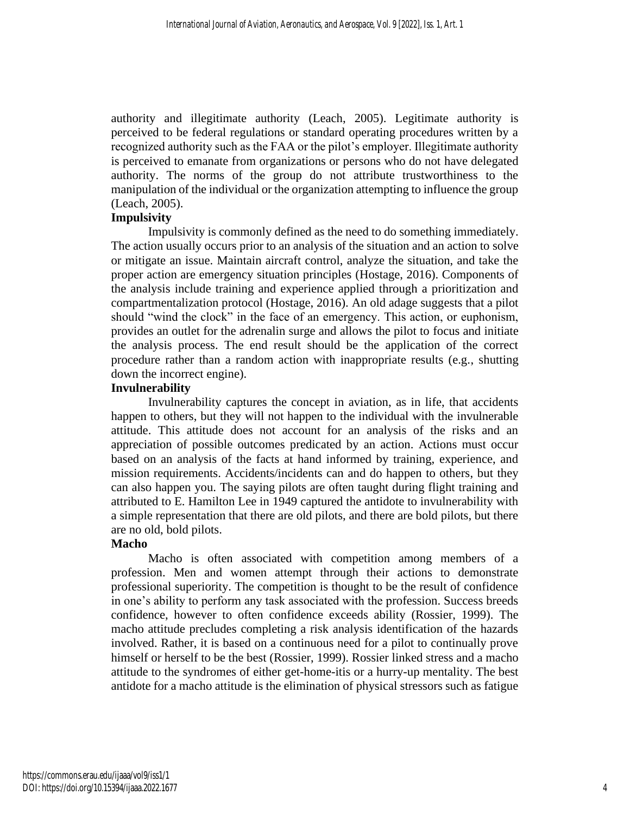authority and illegitimate authority (Leach, 2005). Legitimate authority is perceived to be federal regulations or standard operating procedures written by a recognized authority such as the FAA or the pilot's employer. Illegitimate authority is perceived to emanate from organizations or persons who do not have delegated authority. The norms of the group do not attribute trustworthiness to the manipulation of the individual or the organization attempting to influence the group (Leach, 2005).

## **Impulsivity**

Impulsivity is commonly defined as the need to do something immediately. The action usually occurs prior to an analysis of the situation and an action to solve or mitigate an issue. Maintain aircraft control, analyze the situation, and take the proper action are emergency situation principles (Hostage, 2016). Components of the analysis include training and experience applied through a prioritization and compartmentalization protocol (Hostage, 2016). An old adage suggests that a pilot should "wind the clock" in the face of an emergency. This action, or euphonism, provides an outlet for the adrenalin surge and allows the pilot to focus and initiate the analysis process. The end result should be the application of the correct procedure rather than a random action with inappropriate results (e.g., shutting down the incorrect engine).

## **Invulnerability**

Invulnerability captures the concept in aviation, as in life, that accidents happen to others, but they will not happen to the individual with the invulnerable attitude. This attitude does not account for an analysis of the risks and an appreciation of possible outcomes predicated by an action. Actions must occur based on an analysis of the facts at hand informed by training, experience, and mission requirements. Accidents/incidents can and do happen to others, but they can also happen you. The saying pilots are often taught during flight training and attributed to E. Hamilton Lee in 1949 captured the antidote to invulnerability with a simple representation that there are old pilots, and there are bold pilots, but there are no old, bold pilots.

## **Macho**

Macho is often associated with competition among members of a profession. Men and women attempt through their actions to demonstrate professional superiority. The competition is thought to be the result of confidence in one's ability to perform any task associated with the profession. Success breeds confidence, however to often confidence exceeds ability (Rossier, 1999). The macho attitude precludes completing a risk analysis identification of the hazards involved. Rather, it is based on a continuous need for a pilot to continually prove himself or herself to be the best (Rossier, 1999). Rossier linked stress and a macho attitude to the syndromes of either get-home-itis or a hurry-up mentality. The best antidote for a macho attitude is the elimination of physical stressors such as fatigue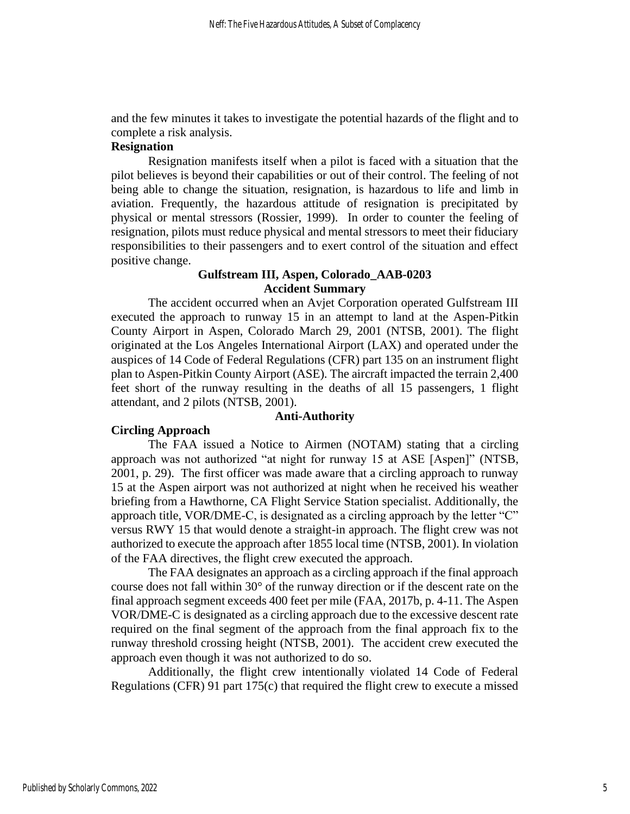and the few minutes it takes to investigate the potential hazards of the flight and to complete a risk analysis.

## **Resignation**

Resignation manifests itself when a pilot is faced with a situation that the pilot believes is beyond their capabilities or out of their control. The feeling of not being able to change the situation, resignation, is hazardous to life and limb in aviation. Frequently, the hazardous attitude of resignation is precipitated by physical or mental stressors (Rossier, 1999). In order to counter the feeling of resignation, pilots must reduce physical and mental stressors to meet their fiduciary responsibilities to their passengers and to exert control of the situation and effect positive change.

## **Gulfstream III, Aspen, Colorado\_AAB-0203 Accident Summary**

The accident occurred when an Avjet Corporation operated Gulfstream III executed the approach to runway 15 in an attempt to land at the Aspen-Pitkin County Airport in Aspen, Colorado March 29, 2001 (NTSB, 2001). The flight originated at the Los Angeles International Airport (LAX) and operated under the auspices of 14 Code of Federal Regulations (CFR) part 135 on an instrument flight plan to Aspen-Pitkin County Airport (ASE). The aircraft impacted the terrain 2,400 feet short of the runway resulting in the deaths of all 15 passengers, 1 flight attendant, and 2 pilots (NTSB, 2001).

#### **Anti-Authority**

## **Circling Approach**

The FAA issued a Notice to Airmen (NOTAM) stating that a circling approach was not authorized "at night for runway 15 at ASE [Aspen]" (NTSB, 2001, p. 29). The first officer was made aware that a circling approach to runway 15 at the Aspen airport was not authorized at night when he received his weather briefing from a Hawthorne, CA Flight Service Station specialist. Additionally, the approach title, VOR/DME-C, is designated as a circling approach by the letter "C" versus RWY 15 that would denote a straight-in approach. The flight crew was not authorized to execute the approach after 1855 local time (NTSB, 2001). In violation of the FAA directives, the flight crew executed the approach.

The FAA designates an approach as a circling approach if the final approach course does not fall within 30° of the runway direction or if the descent rate on the final approach segment exceeds 400 feet per mile (FAA, 2017b, p. 4-11. The Aspen VOR/DME-C is designated as a circling approach due to the excessive descent rate required on the final segment of the approach from the final approach fix to the runway threshold crossing height (NTSB, 2001). The accident crew executed the approach even though it was not authorized to do so.

Additionally, the flight crew intentionally violated 14 Code of Federal Regulations (CFR) 91 part 175(c) that required the flight crew to execute a missed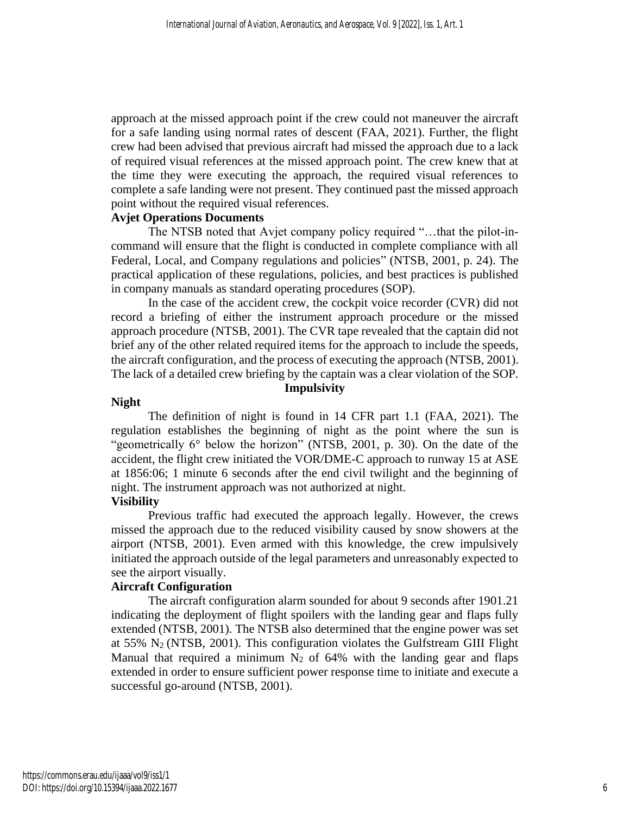approach at the missed approach point if the crew could not maneuver the aircraft for a safe landing using normal rates of descent (FAA, 2021). Further, the flight crew had been advised that previous aircraft had missed the approach due to a lack of required visual references at the missed approach point. The crew knew that at the time they were executing the approach, the required visual references to complete a safe landing were not present. They continued past the missed approach point without the required visual references.

## **Avjet Operations Documents**

The NTSB noted that Avjet company policy required "…that the pilot-incommand will ensure that the flight is conducted in complete compliance with all Federal, Local, and Company regulations and policies" (NTSB, 2001, p. 24). The practical application of these regulations, policies, and best practices is published in company manuals as standard operating procedures (SOP).

In the case of the accident crew, the cockpit voice recorder (CVR) did not record a briefing of either the instrument approach procedure or the missed approach procedure (NTSB, 2001). The CVR tape revealed that the captain did not brief any of the other related required items for the approach to include the speeds, the aircraft configuration, and the process of executing the approach (NTSB, 2001). The lack of a detailed crew briefing by the captain was a clear violation of the SOP.

## **Impulsivity**

## **Night**

The definition of night is found in 14 CFR part 1.1 (FAA, 2021). The regulation establishes the beginning of night as the point where the sun is "geometrically 6° below the horizon" (NTSB, 2001, p. 30). On the date of the accident, the flight crew initiated the VOR/DME-C approach to runway 15 at ASE at 1856:06; 1 minute 6 seconds after the end civil twilight and the beginning of night. The instrument approach was not authorized at night.

## **Visibility**

Previous traffic had executed the approach legally. However, the crews missed the approach due to the reduced visibility caused by snow showers at the airport (NTSB, 2001). Even armed with this knowledge, the crew impulsively initiated the approach outside of the legal parameters and unreasonably expected to see the airport visually.

## **Aircraft Configuration**

The aircraft configuration alarm sounded for about 9 seconds after 1901.21 indicating the deployment of flight spoilers with the landing gear and flaps fully extended (NTSB, 2001). The NTSB also determined that the engine power was set at  $55\%$  N<sub>2</sub> (NTSB, 2001). This configuration violates the Gulfstream GIII Flight Manual that required a minimum  $N_2$  of 64% with the landing gear and flaps extended in order to ensure sufficient power response time to initiate and execute a successful go-around (NTSB, 2001).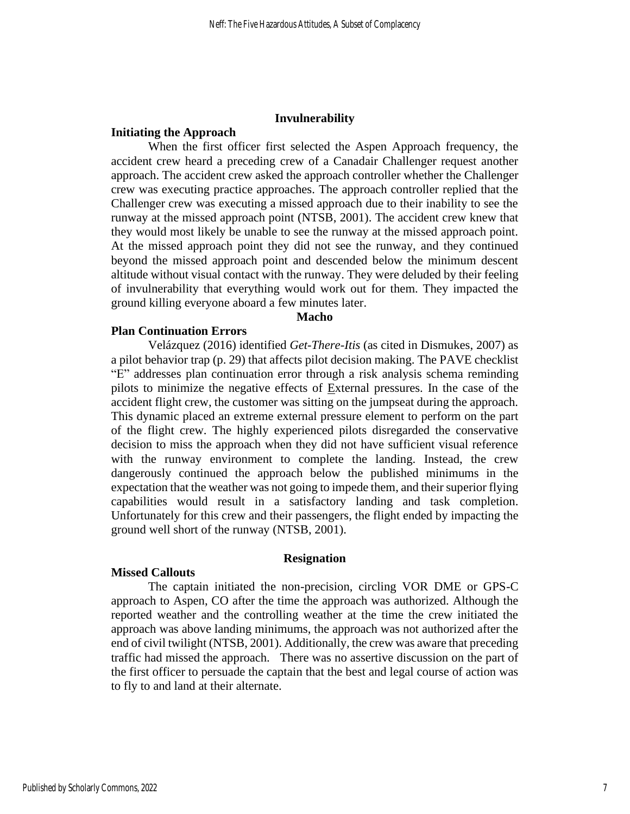#### **Invulnerability**

#### **Initiating the Approach**

When the first officer first selected the Aspen Approach frequency, the accident crew heard a preceding crew of a Canadair Challenger request another approach. The accident crew asked the approach controller whether the Challenger crew was executing practice approaches. The approach controller replied that the Challenger crew was executing a missed approach due to their inability to see the runway at the missed approach point (NTSB, 2001). The accident crew knew that they would most likely be unable to see the runway at the missed approach point. At the missed approach point they did not see the runway, and they continued beyond the missed approach point and descended below the minimum descent altitude without visual contact with the runway. They were deluded by their feeling of invulnerability that everything would work out for them. They impacted the ground killing everyone aboard a few minutes later.

#### **Macho**

#### **Plan Continuation Errors**

Velázquez (2016) identified *Get-There-Itis* (as cited in Dismukes, 2007) as a pilot behavior trap (p. 29) that affects pilot decision making. The PAVE checklist "E" addresses plan continuation error through a risk analysis schema reminding pilots to minimize the negative effects of  $Ex$ ternal pressures. In the case of the accident flight crew, the customer was sitting on the jumpseat during the approach. This dynamic placed an extreme external pressure element to perform on the part of the flight crew. The highly experienced pilots disregarded the conservative decision to miss the approach when they did not have sufficient visual reference with the runway environment to complete the landing. Instead, the crew dangerously continued the approach below the published minimums in the expectation that the weather was not going to impede them, and their superior flying capabilities would result in a satisfactory landing and task completion. Unfortunately for this crew and their passengers, the flight ended by impacting the ground well short of the runway (NTSB, 2001).

#### **Resignation**

#### **Missed Callouts**

The captain initiated the non-precision, circling VOR DME or GPS-C approach to Aspen, CO after the time the approach was authorized. Although the reported weather and the controlling weather at the time the crew initiated the approach was above landing minimums, the approach was not authorized after the end of civil twilight (NTSB, 2001). Additionally, the crew was aware that preceding traffic had missed the approach. There was no assertive discussion on the part of the first officer to persuade the captain that the best and legal course of action was to fly to and land at their alternate.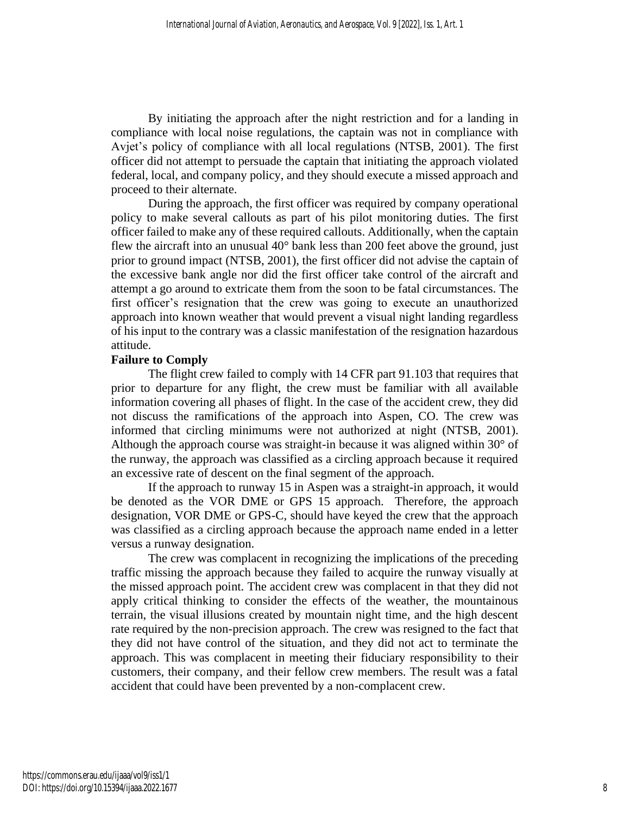By initiating the approach after the night restriction and for a landing in compliance with local noise regulations, the captain was not in compliance with Avjet's policy of compliance with all local regulations (NTSB, 2001). The first officer did not attempt to persuade the captain that initiating the approach violated federal, local, and company policy, and they should execute a missed approach and proceed to their alternate.

During the approach, the first officer was required by company operational policy to make several callouts as part of his pilot monitoring duties. The first officer failed to make any of these required callouts. Additionally, when the captain flew the aircraft into an unusual 40° bank less than 200 feet above the ground, just prior to ground impact (NTSB, 2001), the first officer did not advise the captain of the excessive bank angle nor did the first officer take control of the aircraft and attempt a go around to extricate them from the soon to be fatal circumstances. The first officer's resignation that the crew was going to execute an unauthorized approach into known weather that would prevent a visual night landing regardless of his input to the contrary was a classic manifestation of the resignation hazardous attitude.

## **Failure to Comply**

The flight crew failed to comply with 14 CFR part 91.103 that requires that prior to departure for any flight, the crew must be familiar with all available information covering all phases of flight. In the case of the accident crew, they did not discuss the ramifications of the approach into Aspen, CO. The crew was informed that circling minimums were not authorized at night (NTSB, 2001). Although the approach course was straight-in because it was aligned within 30° of the runway, the approach was classified as a circling approach because it required an excessive rate of descent on the final segment of the approach.

If the approach to runway 15 in Aspen was a straight-in approach, it would be denoted as the VOR DME or GPS 15 approach. Therefore, the approach designation, VOR DME or GPS-C, should have keyed the crew that the approach was classified as a circling approach because the approach name ended in a letter versus a runway designation.

The crew was complacent in recognizing the implications of the preceding traffic missing the approach because they failed to acquire the runway visually at the missed approach point. The accident crew was complacent in that they did not apply critical thinking to consider the effects of the weather, the mountainous terrain, the visual illusions created by mountain night time, and the high descent rate required by the non-precision approach. The crew was resigned to the fact that they did not have control of the situation, and they did not act to terminate the approach. This was complacent in meeting their fiduciary responsibility to their customers, their company, and their fellow crew members. The result was a fatal accident that could have been prevented by a non-complacent crew.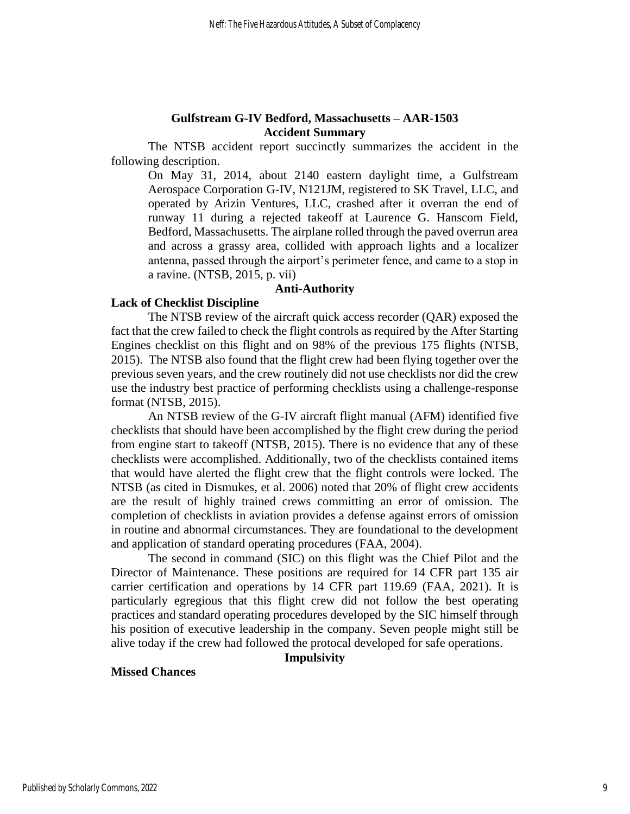## **Gulfstream G-IV Bedford, Massachusetts – AAR-1503 Accident Summary**

The NTSB accident report succinctly summarizes the accident in the following description.

On May 31, 2014, about 2140 eastern daylight time, a Gulfstream Aerospace Corporation G-IV, N121JM, registered to SK Travel, LLC, and operated by Arizin Ventures, LLC, crashed after it overran the end of runway 11 during a rejected takeoff at Laurence G. Hanscom Field, Bedford, Massachusetts. The airplane rolled through the paved overrun area and across a grassy area, collided with approach lights and a localizer antenna, passed through the airport's perimeter fence, and came to a stop in a ravine. (NTSB, 2015, p. vii)

## **Anti-Authority**

#### **Lack of Checklist Discipline**

The NTSB review of the aircraft quick access recorder (QAR) exposed the fact that the crew failed to check the flight controls as required by the After Starting Engines checklist on this flight and on 98% of the previous 175 flights (NTSB, 2015). The NTSB also found that the flight crew had been flying together over the previous seven years, and the crew routinely did not use checklists nor did the crew use the industry best practice of performing checklists using a challenge-response format (NTSB, 2015).

An NTSB review of the G-IV aircraft flight manual (AFM) identified five checklists that should have been accomplished by the flight crew during the period from engine start to takeoff (NTSB, 2015). There is no evidence that any of these checklists were accomplished. Additionally, two of the checklists contained items that would have alerted the flight crew that the flight controls were locked. The NTSB (as cited in Dismukes, et al. 2006) noted that 20% of flight crew accidents are the result of highly trained crews committing an error of omission. The completion of checklists in aviation provides a defense against errors of omission in routine and abnormal circumstances. They are foundational to the development and application of standard operating procedures (FAA, 2004).

The second in command (SIC) on this flight was the Chief Pilot and the Director of Maintenance. These positions are required for 14 CFR part 135 air carrier certification and operations by 14 CFR part 119.69 (FAA, 2021). It is particularly egregious that this flight crew did not follow the best operating practices and standard operating procedures developed by the SIC himself through his position of executive leadership in the company. Seven people might still be alive today if the crew had followed the protocal developed for safe operations.

**Impulsivity**

### **Missed Chances**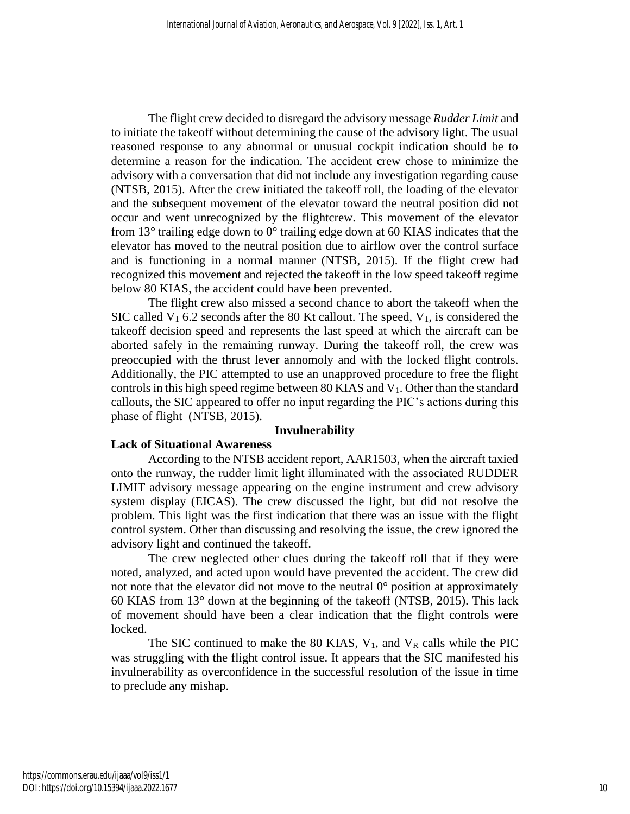The flight crew decided to disregard the advisory message *Rudder Limit* and to initiate the takeoff without determining the cause of the advisory light. The usual reasoned response to any abnormal or unusual cockpit indication should be to determine a reason for the indication. The accident crew chose to minimize the advisory with a conversation that did not include any investigation regarding cause (NTSB, 2015). After the crew initiated the takeoff roll, the loading of the elevator and the subsequent movement of the elevator toward the neutral position did not occur and went unrecognized by the flightcrew. This movement of the elevator from 13° trailing edge down to 0° trailing edge down at 60 KIAS indicates that the elevator has moved to the neutral position due to airflow over the control surface and is functioning in a normal manner (NTSB, 2015). If the flight crew had recognized this movement and rejected the takeoff in the low speed takeoff regime below 80 KIAS, the accident could have been prevented.

The flight crew also missed a second chance to abort the takeoff when the SIC called  $V_1$  6.2 seconds after the 80 Kt callout. The speed,  $V_1$ , is considered the takeoff decision speed and represents the last speed at which the aircraft can be aborted safely in the remaining runway. During the takeoff roll, the crew was preoccupied with the thrust lever annomoly and with the locked flight controls. Additionally, the PIC attempted to use an unapproved procedure to free the flight controls in this high speed regime between 80 KIAS and  $V_1$ . Other than the standard callouts, the SIC appeared to offer no input regarding the PIC's actions during this phase of flight (NTSB, 2015).

#### **Invulnerability**

## **Lack of Situational Awareness**

According to the NTSB accident report, AAR1503, when the aircraft taxied onto the runway, the rudder limit light illuminated with the associated RUDDER LIMIT advisory message appearing on the engine instrument and crew advisory system display (EICAS). The crew discussed the light, but did not resolve the problem. This light was the first indication that there was an issue with the flight control system. Other than discussing and resolving the issue, the crew ignored the advisory light and continued the takeoff.

The crew neglected other clues during the takeoff roll that if they were noted, analyzed, and acted upon would have prevented the accident. The crew did not note that the elevator did not move to the neutral  $0^{\circ}$  position at approximately 60 KIAS from 13° down at the beginning of the takeoff (NTSB, 2015). This lack of movement should have been a clear indication that the flight controls were locked.

The SIC continued to make the 80 KIAS,  $V_1$ , and  $V_R$  calls while the PIC was struggling with the flight control issue. It appears that the SIC manifested his invulnerability as overconfidence in the successful resolution of the issue in time to preclude any mishap.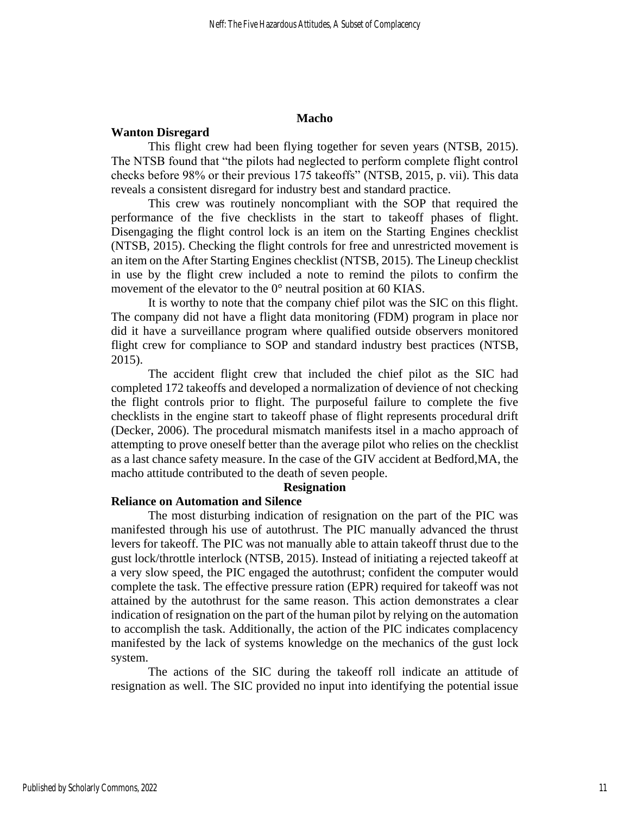#### **Macho**

#### **Wanton Disregard**

This flight crew had been flying together for seven years (NTSB, 2015). The NTSB found that "the pilots had neglected to perform complete flight control checks before 98% or their previous 175 takeoffs" (NTSB, 2015, p. vii). This data reveals a consistent disregard for industry best and standard practice.

This crew was routinely noncompliant with the SOP that required the performance of the five checklists in the start to takeoff phases of flight. Disengaging the flight control lock is an item on the Starting Engines checklist (NTSB, 2015). Checking the flight controls for free and unrestricted movement is an item on the After Starting Engines checklist (NTSB, 2015). The Lineup checklist in use by the flight crew included a note to remind the pilots to confirm the movement of the elevator to the 0° neutral position at 60 KIAS.

It is worthy to note that the company chief pilot was the SIC on this flight. The company did not have a flight data monitoring (FDM) program in place nor did it have a surveillance program where qualified outside observers monitored flight crew for compliance to SOP and standard industry best practices (NTSB, 2015).

The accident flight crew that included the chief pilot as the SIC had completed 172 takeoffs and developed a normalization of devience of not checking the flight controls prior to flight. The purposeful failure to complete the five checklists in the engine start to takeoff phase of flight represents procedural drift (Decker, 2006). The procedural mismatch manifests itsel in a macho approach of attempting to prove oneself better than the average pilot who relies on the checklist as a last chance safety measure. In the case of the GIV accident at Bedford,MA, the macho attitude contributed to the death of seven people.

#### **Resignation**

#### **Reliance on Automation and Silence**

The most disturbing indication of resignation on the part of the PIC was manifested through his use of autothrust. The PIC manually advanced the thrust levers for takeoff. The PIC was not manually able to attain takeoff thrust due to the gust lock/throttle interlock (NTSB, 2015). Instead of initiating a rejected takeoff at a very slow speed, the PIC engaged the autothrust; confident the computer would complete the task. The effective pressure ration (EPR) required for takeoff was not attained by the autothrust for the same reason. This action demonstrates a clear indication of resignation on the part of the human pilot by relying on the automation to accomplish the task. Additionally, the action of the PIC indicates complacency manifested by the lack of systems knowledge on the mechanics of the gust lock system.

The actions of the SIC during the takeoff roll indicate an attitude of resignation as well. The SIC provided no input into identifying the potential issue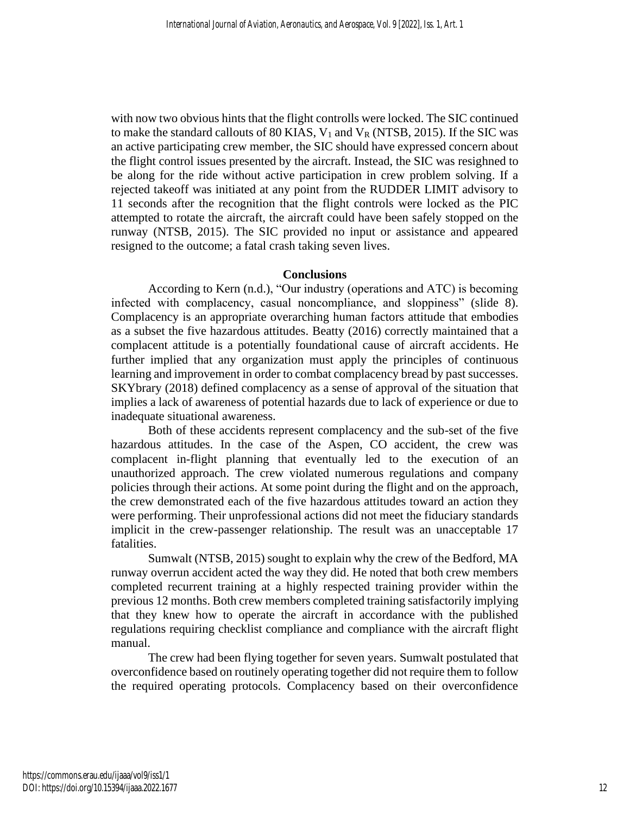with now two obvious hints that the flight controlls were locked. The SIC continued to make the standard callouts of 80 KIAS,  $V_1$  and  $V_R$  (NTSB, 2015). If the SIC was an active participating crew member, the SIC should have expressed concern about the flight control issues presented by the aircraft. Instead, the SIC was resighned to be along for the ride without active participation in crew problem solving. If a rejected takeoff was initiated at any point from the RUDDER LIMIT advisory to 11 seconds after the recognition that the flight controls were locked as the PIC attempted to rotate the aircraft, the aircraft could have been safely stopped on the runway (NTSB, 2015). The SIC provided no input or assistance and appeared resigned to the outcome; a fatal crash taking seven lives.

## **Conclusions**

According to Kern (n.d.), "Our industry (operations and ATC) is becoming infected with complacency, casual noncompliance, and sloppiness" (slide 8). Complacency is an appropriate overarching human factors attitude that embodies as a subset the five hazardous attitudes. Beatty (2016) correctly maintained that a complacent attitude is a potentially foundational cause of aircraft accidents. He further implied that any organization must apply the principles of continuous learning and improvement in order to combat complacency bread by past successes. SKYbrary (2018) defined complacency as a sense of approval of the situation that implies a lack of awareness of potential hazards due to lack of experience or due to inadequate situational awareness.

Both of these accidents represent complacency and the sub-set of the five hazardous attitudes. In the case of the Aspen, CO accident, the crew was complacent in-flight planning that eventually led to the execution of an unauthorized approach. The crew violated numerous regulations and company policies through their actions. At some point during the flight and on the approach, the crew demonstrated each of the five hazardous attitudes toward an action they were performing. Their unprofessional actions did not meet the fiduciary standards implicit in the crew-passenger relationship. The result was an unacceptable 17 fatalities.

Sumwalt (NTSB, 2015) sought to explain why the crew of the Bedford, MA runway overrun accident acted the way they did. He noted that both crew members completed recurrent training at a highly respected training provider within the previous 12 months. Both crew members completed training satisfactorily implying that they knew how to operate the aircraft in accordance with the published regulations requiring checklist compliance and compliance with the aircraft flight manual.

The crew had been flying together for seven years. Sumwalt postulated that overconfidence based on routinely operating together did not require them to follow the required operating protocols. Complacency based on their overconfidence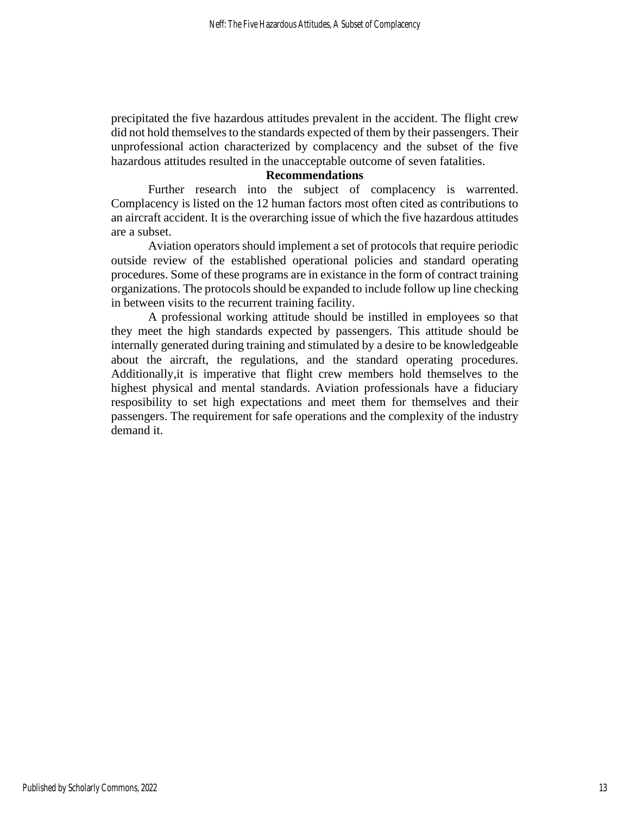precipitated the five hazardous attitudes prevalent in the accident. The flight crew did not hold themselves to the standards expected of them by their passengers. Their unprofessional action characterized by complacency and the subset of the five hazardous attitudes resulted in the unacceptable outcome of seven fatalities.

## **Recommendations**

Further research into the subject of complacency is warrented. Complacency is listed on the 12 human factors most often cited as contributions to an aircraft accident. It is the overarching issue of which the five hazardous attitudes are a subset.

Aviation operators should implement a set of protocols that require periodic outside review of the established operational policies and standard operating procedures. Some of these programs are in existance in the form of contract training organizations. The protocols should be expanded to include follow up line checking in between visits to the recurrent training facility.

A professional working attitude should be instilled in employees so that they meet the high standards expected by passengers. This attitude should be internally generated during training and stimulated by a desire to be knowledgeable about the aircraft, the regulations, and the standard operating procedures. Additionally,it is imperative that flight crew members hold themselves to the highest physical and mental standards. Aviation professionals have a fiduciary resposibility to set high expectations and meet them for themselves and their passengers. The requirement for safe operations and the complexity of the industry demand it.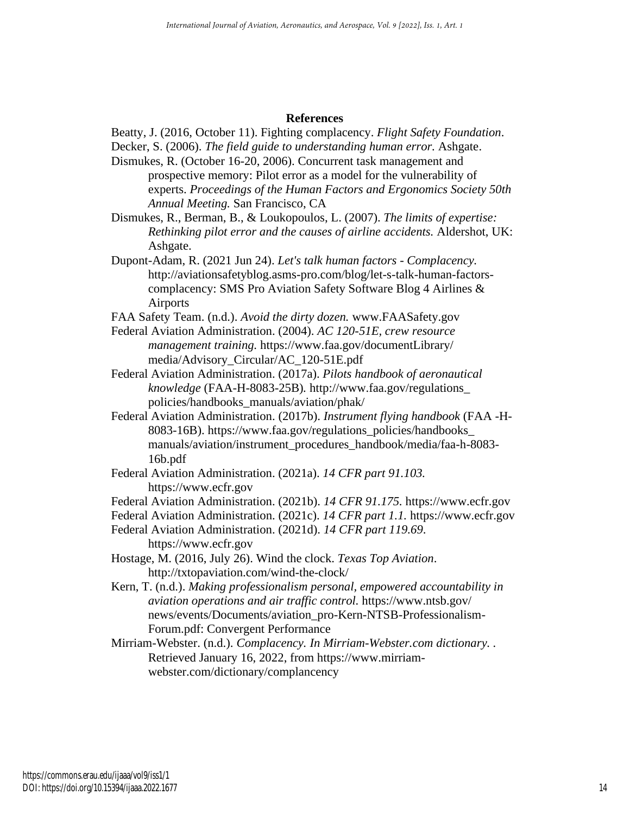### **References**

Beatty, J. (2016, October 11). Fighting complacency. *Flight Safety Foundation*.

Decker, S. (2006). *The field guide to understanding human error.* Ashgate.

- Dismukes, R. (October 16-20, 2006). Concurrent task management and prospective memory: Pilot error as a model for the vulnerability of experts. *Proceedings of the Human Factors and Ergonomics Society 50th Annual Meeting.* San Francisco, CA
- Dismukes, R., Berman, B., & Loukopoulos, L. (2007). *The limits of expertise: Rethinking pilot error and the causes of airline accidents.* Aldershot, UK: Ashgate.
- Dupont-Adam, R. (2021 Jun 24). *Let's talk human factors - Complacency.* http://aviationsafetyblog.asms-pro.com/blog/let-s-talk-human-factorscomplacency: SMS Pro Aviation Safety Software Blog 4 Airlines & Airports

FAA Safety Team. (n.d.). *Avoid the dirty dozen.* www.FAASafety.gov

- Federal Aviation Administration. (2004). *AC 120-51E, crew resource management training.* https://www.faa.gov/documentLibrary/ media/Advisory\_Circular/AC\_120-51E.pdf
- Federal Aviation Administration. (2017a). *Pilots handbook of aeronautical knowledge* (FAA-H-8083-25B)*.* http://www.faa.gov/regulations\_ policies/handbooks\_manuals/aviation/phak/
- Federal Aviation Administration. (2017b). *Instrument flying handbook* (FAA -H-8083-16B). https://www.faa.gov/regulations\_policies/handbooks\_ manuals/aviation/instrument\_procedures\_handbook/media/faa-h-8083- 16b.pdf
- Federal Aviation Administration. (2021a). *14 CFR part 91.103.* https://www.ecfr.gov

Federal Aviation Administration. (2021b). *14 CFR 91.175.* https://www.ecfr.gov

Federal Aviation Administration. (2021c). *14 CFR part 1.1.* https://www.ecfr.gov

- Federal Aviation Administration. (2021d). *14 CFR part 119.69*. https://www.ecfr.gov
- Hostage, M. (2016, July 26). Wind the clock. *Texas Top Aviation*. http://txtopaviation.com/wind-the-clock/

Kern, T. (n.d.). *Making professionalism personal, empowered accountability in aviation operations and air traffic control.* https://www.ntsb.gov/ news/events/Documents/aviation\_pro-Kern-NTSB-Professionalism-Forum.pdf: Convergent Performance

Mirriam-Webster. (n.d.). *Complacency. In Mirriam-Webster.com dictionary. .* Retrieved January 16, 2022, from https://www.mirriamwebster.com/dictionary/complancency